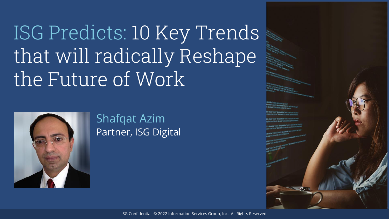ISG Predicts: 10 Key Trends that will radically Reshape the Future of Work



#### Shafqat Azim Partner, ISG Digital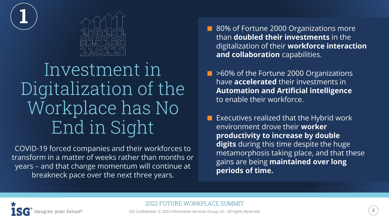



#### Investment in Digitalization of the Workplace has No End in Sight

COVID-19 forced companies and their workforces to transform in a matter of weeks rather than months or years – and that change momentum will continue at breakneck pace over the next three years.

- 80% of Fortune 2000 Organizations more than **doubled their investments** in the digitalization of their **workforce interaction and collaboration** capabilities.
- >60% of the Fortune 2000 Organizations have **accelerated** their investments in **Automation and Artificial intelligence** to enable their workforce.
- ⬛ Executives realized that the Hybrid work environment drove their **worker productivity to increase by double digits** during this time despite the huge metamorphosis taking place, and that these gains are being **maintained over long periods of time.**

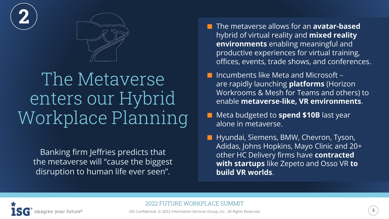



#### The Metaverse enters our Hybrid Workplace Planning

Banking firm Jeffries predicts that the metaverse will "cause the biggest disruption to human life ever seen".

- **n** The metaverse allows for an **avatar-based** hybrid of virtual reality and **mixed reality environments** enabling meaningful and productive experiences for virtual training, offices, events, trade shows, and conferences.
- $\blacksquare$  Incumbents like Meta and Microsoft are rapidly launching **platforms** (Horizon Workrooms & Mesh for Teams and others) to enable **metaverse-like, VR environments**.
- Meta budgeted to **spend \$10B** last year alone in metaverse.
- Hyundai, Siemens, BMW, Chevron, Tyson, Adidas, Johns Hopkins, Mayo Clinic and 20+ other HC Delivery firms have **contracted with startups** like Zepeto and Osso VR **to build VR worlds**.

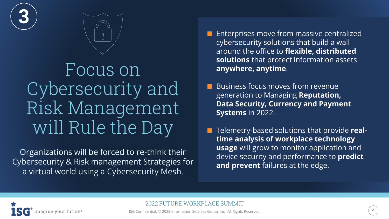



Focus on Cybersecurity and Risk Management will Rule the Day

Organizations will be forced to re-think their Cybersecurity & Risk management Strategies for a virtual world using a Cybersecurity Mesh.

- ⬛ Enterprises move from massive centralized cybersecurity solutions that build a wall around the office to **flexible, distributed solutions** that protect information assets **anywhere, anytime**.
- ⬛ Business focus moves from revenue generation to Managing **Reputation, Data Security, Currency and Payment Systems** in 2022.
- ⬛ Telemetry-based solutions that provide **realtime analysis of workplace technology usage** will grow to monitor application and device security and performance to **predict and prevent** failures at the edge.



2022 FUTURE WORKPLACE SUMMIT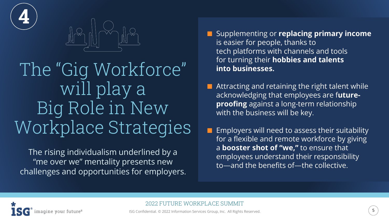



#### The "Gig Workforce" will play a Big Role in New Workplace Strategies

The rising individualism underlined by a "me over we" mentality presents new challenges and opportunities for employers.

- **■** Supplementing or **replacing primary income** is easier for people, thanks to tech platforms with channels and tools for turning their **hobbies and talents into businesses.**
- Attracting and retaining the right talent while acknowledging that employees are f**utureproofing** against a long-term relationship with the business will be key.
- ⬛ Employers will need to assess their suitability for a flexible and remote workforce by giving a **booster shot of "we,"** to ensure that employees understand their responsibility to—and the benefits of—the collective.



2022 FUTURE WORKPLACE SUMMIT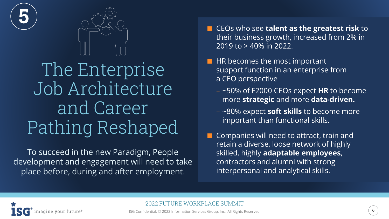



#### The Enterprise Job Architecture and Career Pathing Reshaped

To succeed in the new Paradigm, People development and engagement will need to take place before, during and after employment.

- CEOs who see **talent as the greatest risk** to their business growth, increased from 2% in 2019 to > 40% in 2022.
- $\blacksquare$  HR becomes the most important support function in an enterprise from a CEO perspective
	- ~50% of F2000 CEOs expect **HR** to become more **strategic** and more **data-driven.**
	- ~80% expect **soft skills** to become more important than functional skills.
- **E** Companies will need to attract, train and retain a diverse, loose network of highly skilled, highly **adaptable employees**, contractors and alumni with strong interpersonal and analytical skills.

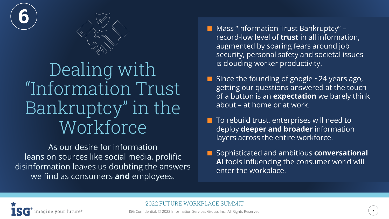



#### Dealing with "Information Trust Bankruptcy" in the Workforce

As our desire for information leans on sources like social media, prolific disinformation leaves us doubting the answers we find as consumers **and** employees.

- Mass "Information Trust Bankruptcy" record-low level of **trust** in all information, augmented by soaring fears around job security, personal safety and societal issues is clouding worker productivity.
- Since the founding of google ~24 years ago, getting our questions answered at the touch of a button is an **expectation** we barely think about – at home or at work.
- To rebuild trust, enterprises will need to deploy **deeper and broader** information layers across the entire workforce.
- ⬛ Sophisticated and ambitious **conversational AI** tools influencing the consumer world will enter the workplace.



2022 FUTURE WORKPLACE SUMMIT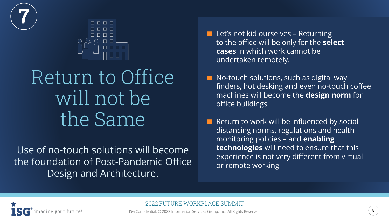



### Return to Office will not be the Same

Use of no-touch solutions will become the foundation of Post-Pandemic Office Design and Architecture.

- Let's not kid ourselves Returning to the office will be only for the **select cases** in which work cannot be undertaken remotely.
- $\blacksquare$  No-touch solutions, such as digital way finders, hot desking and even no-touch coffee machines will become the **design norm** for office buildings.
	- ⬛ Return to work will be influenced by social distancing norms, regulations and health monitoring policies – and **enabling technologies** will need to ensure that this experience is not very different from virtual or remote working.



2022 FUTURE WORKPLACE SUMMIT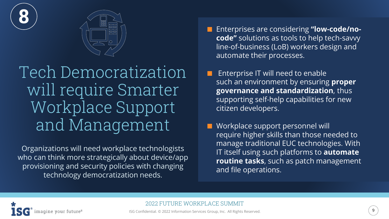



Tech Democratization will require Smarter Workplace Support and Management

Organizations will need workplace technologists who can think more strategically about device/app provisioning and security policies with changing technology democratization needs.

- ⬛ Enterprises are considering **"low-code/nocode"** solutions as tools to help tech-savvy line-of-business (LoB) workers design and automate their processes.
- ⬛ Enterprise IT will need to enable such an environment by ensuring **proper governance and standardization**, thus supporting self-help capabilities for new citizen developers.
- ⬛ Workplace support personnel will require higher skills than those needed to manage traditional EUC technologies. With IT itself using such platforms to **automate routine tasks**, such as patch management and file operations.

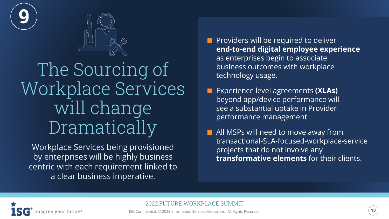



#### The Sourcing of Workplace Services will change Dramatically

Workplace Services being provisioned by enterprises will be highly business centric with each requirement linked to a clear business imperative.

- **Providers will be required to deliver end-to-end digital employee experience** as enterprises begin to associate business outcomes with workplace technology usage.
- ⬛ Experience level agreements **(XLAs)**  beyond app/device performance will see a substantial uptake in Provider performance management.
- All MSPs will need to move away from transactional-SLA-focused-workplace-service projects that do not involve any **transformative elements** for their clients.



2022 FUTURE WORKPLACE SUMMIT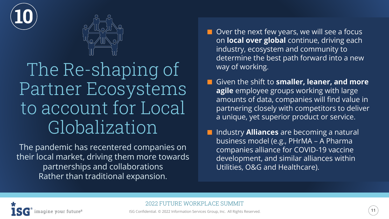



#### The Re-shaping of Partner Ecosystems to account for Local Globalization

The pandemic has recentered companies on their local market, driving them more towards partnerships and collaborations Rather than traditional expansion.

- $\blacksquare$  Over the next few years, we will see a focus on **local over global** continue, driving each industry, ecosystem and community to determine the best path forward into a new way of working.
- Given the shift to **smaller, leaner, and more agile** employee groups working with large amounts of data, companies will find value in partnering closely with competitors to deliver a unique, yet superior product or service.
- Industry **Alliances** are becoming a natural business model (e.g., PHrMA – A Pharma companies alliance for COVID-19 vaccine development, and similar alliances within Utilities, O&G and Healthcare).



2022 FUTURE WORKPLACE SUMMIT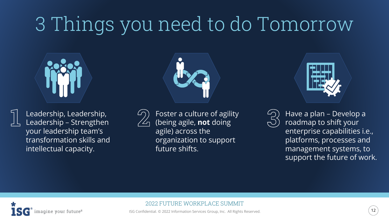## 3 Things you need to do Tomorrow





Leadership, Leadership, Leadership – Strengthen your leadership team's transformation skills and intellectual capacity.





(being agile, **not** doing agile) across the organization to support future shifts.



Have a plan – Develop a roadmap to shift your enterprise capabilities i.e., platforms, processes and management systems, to support the future of work.



#### 2022 FUTURE WORKPLACE SUMMIT